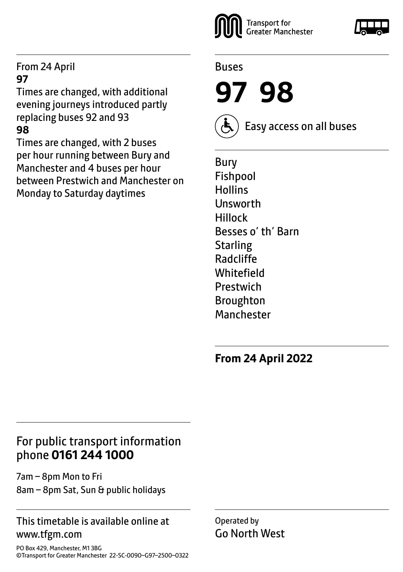#### From 24 April **97**

Times are changed, with additional evening journeys introduced partly replacing buses 92 and 93 **98**

Times are changed, with 2 buses per hour running between Bury and Manchester and 4 buses per hour between Prestwich and Manchester on Monday to Saturday daytimes



#### Buses

**97 98**



Easy access on all buses

Bury Fishpool **Hollins Unsworth** Hillock Besses o' th' Barn **Starling** Radcliffe **Whitefield** Prestwich Broughton Manchester

**From 24 April 2022**

#### For public transport information phone **0161 244 1000**

7am – 8pm Mon to Fri 8am – 8pm Sat, Sun & public holidays

#### This timetable is available online at www.tfgm.com

Operated by Go North West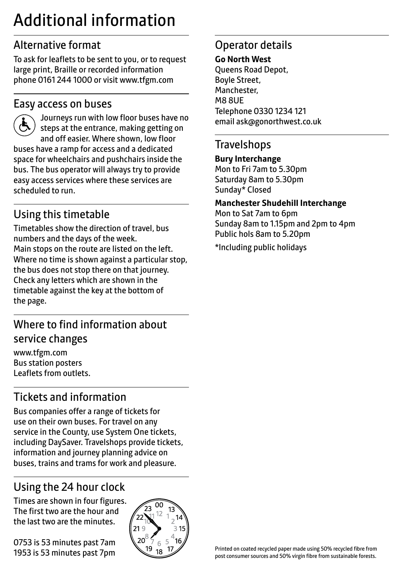# Additional information

# Alternative format

To ask for leaflets to be sent to you, or to request large print, Braille or recorded information phone 0161 244 1000 or visit www.tfgm.com

#### Easy access on buses



 Journeys run with low floor buses have no steps at the entrance, making getting on and off easier. Where shown, low floor buses have a ramp for access and a dedicated space for wheelchairs and pushchairs inside the bus. The bus operator will always try to provide easy access services where these services are scheduled to run.

# Using this timetable

Timetables show the direction of travel, bus numbers and the days of the week. Main stops on the route are listed on the left. Where no time is shown against a particular stop, the bus does not stop there on that journey. Check any letters which are shown in the timetable against the key at the bottom of the page.

# Where to find information about service changes

www.tfgm.com Bus station posters Leaflets from outlets.

# Tickets and information

Bus companies offer a range of tickets for use on their own buses. For travel on any service in the County, use System One tickets, including DaySaver. Travelshops provide tickets, information and journey planning advice on buses, trains and trams for work and pleasure.

# Using the 24 hour clock

Times are shown in four figures. The first two are the hour and the last two are the minutes.

0753 is 53 minutes past 7am 1953 is 53 minutes past 7pm



# Operator details

#### **Go North West**

Queens Road Depot, Boyle Street, Manchester, M8 8UE Telephone 0330 1234 121 email ask@gonorthwest.co.uk

#### **Travelshops**

**Bury Interchange** Mon to Fri 7am to 5.30pm Saturday 8am to 5.30pm Sunday\* Closed

#### **Manchester Shudehill Interchange**

Mon to Sat 7am to 6pm Sunday 8am to 1.15pm and 2pm to 4pm Public hols 8am to 5.20pm

\*Including public holidays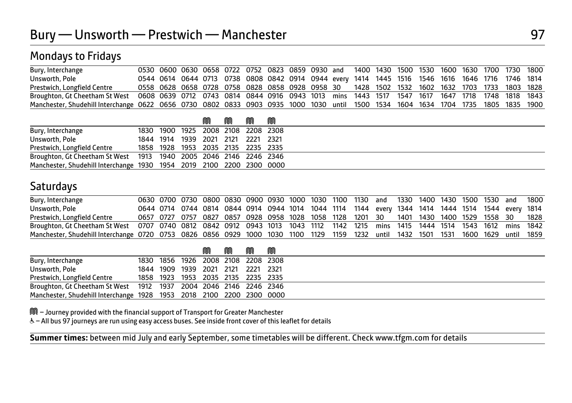| Bury, Interchange                                                                                                                 |  |  | 0530 0600 0630 0658 0722 0752 0823 0859 0930 and 1400 1430 1500 1530 1600 1630 1700 1730 1800   |  |  |  |  |  |  |  |
|-----------------------------------------------------------------------------------------------------------------------------------|--|--|-------------------------------------------------------------------------------------------------|--|--|--|--|--|--|--|
| Unsworth, Pole                                                                                                                    |  |  | 0544 0614 0644 0713 0738 0808 0842 0914 0944 every 1414 1445 1516 1546 1616 1646 1716 1746 1814 |  |  |  |  |  |  |  |
| Prestwich, Longfield Centre                                                                                                       |  |  | 0558 0628 0658 0728 0758 0828 0858 0928 0958 30 1428 1502 1532 1602 1632 1703 1733 1803 1828    |  |  |  |  |  |  |  |
| Broughton, Gt Cheetham St West 0608 0639 0712 0743 0814 0844 0916 0943 1013 mins 1443 1517 1547 1617 1647 1718 1748 1818 1843     |  |  |                                                                                                 |  |  |  |  |  |  |  |
| Manchester, Shudehill Interchange 0622 0656 0730 0802 0833 0903 0935 1000 1030 until 1500 1534 1604 1634 1704 1735 1805 1835 1900 |  |  |                                                                                                 |  |  |  |  |  |  |  |

|                                                                      |                                    | M | M | M | M                                  |  |
|----------------------------------------------------------------------|------------------------------------|---|---|---|------------------------------------|--|
| Bury, Interchange                                                    |                                    |   |   |   | 1830 1900 1925 2008 2108 2208 2308 |  |
| Unsworth, Pole                                                       | 1844 1914 1939 2021 2121 2221 2321 |   |   |   |                                    |  |
| Prestwich, Longfield Centre                                          | 1858 1928 1953 2035 2135 2235 2335 |   |   |   |                                    |  |
| Broughton, Gt Cheetham St West 1913 1940 2005 2046 2146 2246 2346    |                                    |   |   |   |                                    |  |
| Manchester, Shudehill Interchange 1930 1954 2019 2100 2200 2300 0000 |                                    |   |   |   |                                    |  |

#### **Saturdays**

| Bury, Interchange                                                                                                                  |  |  |  |  |  | 0630 0700 0730 0800 0830 0900 0930 1000 1030 1100 1130 and 1330 1400 1430 1500 1530 and 1800     |  |  |  |  |
|------------------------------------------------------------------------------------------------------------------------------------|--|--|--|--|--|--------------------------------------------------------------------------------------------------|--|--|--|--|
| Unsworth, Pole                                                                                                                     |  |  |  |  |  | 0644 0714 0744 0814 0844 0914 0944 1014 1044 1114 1144 every 1344 1414 1444 1514 1544 every 1814 |  |  |  |  |
| Prestwich, Longfield Centre                                                                                                        |  |  |  |  |  | 0657 0727 0757 0827 0857 0928 0958 1028 1058 1128 1201 30 1401 1430 1400 1529 1558 30 1828       |  |  |  |  |
| Broughton, Gt Cheetham St West 0707 0740 0812 0842 0912 0943 1013 1043 1112 1142 1215 mins 1415 1444 1514 1543 1612 mins 1842      |  |  |  |  |  |                                                                                                  |  |  |  |  |
| Manchester, Shudehill Interchange 0720 0753 0826 0856 0929 1000 1030 1100 1129 1159 1232 until 1432 1501 1531 1600 1629 until 1859 |  |  |  |  |  |                                                                                                  |  |  |  |  |

|                                                                      |  |                                    | M | M | M | M |  |
|----------------------------------------------------------------------|--|------------------------------------|---|---|---|---|--|
| Bury, Interchange                                                    |  | 1830 1856 1926 2008 2108 2208 2308 |   |   |   |   |  |
| Unsworth, Pole                                                       |  | 1844 1909 1939 2021 2121 2221 2321 |   |   |   |   |  |
| Prestwich, Longfield Centre                                          |  | 1858 1923 1953 2035 2135 2235 2335 |   |   |   |   |  |
| Broughton, Gt Cheetham St West 1912 1937 2004 2046 2146 2246 2346    |  |                                    |   |   |   |   |  |
| Manchester, Shudehill Interchange 1928 1953 2018 2100 2200 2300 0000 |  |                                    |   |   |   |   |  |

M – Journey provided with the financial support of Transport for Greater Manchester

W– All bus 97 journeys are run using easy access buses. See inside front cover of this leaflet for details

 $\overline{a}$ **Summer times:** between mid July and early September, some timetables will be different. Check www.tfgm.com for details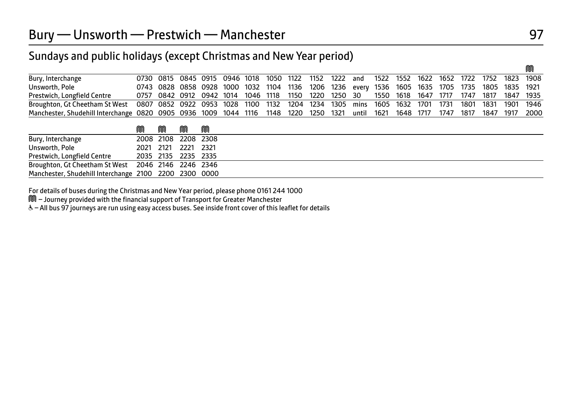| Bury, Interchange                                                                                                             |  |  |  |  |  | 0730 0815 0845 0915 0946 1018 1050 1122 1152 1222 and 1522 1552 1622 1652 1722 1752 1823 1908   |  |  |                |  |
|-------------------------------------------------------------------------------------------------------------------------------|--|--|--|--|--|-------------------------------------------------------------------------------------------------|--|--|----------------|--|
| Unsworth, Pole                                                                                                                |  |  |  |  |  | 0743 0828 0858 0928 1000 1032 1104 1136 1206 1236 every 1536 1605 1635 1705 1735 1805 1835 1921 |  |  |                |  |
| Prestwich, Longfield Centre                                                                                                   |  |  |  |  |  | 0757 0842 0912 0942 1014 1046 1118 1150 1220 1250 30 1550 1618 1647 1717 1747 1817 1847 1935    |  |  |                |  |
| Broughton, Gt Cheetham St West 0807 0852 0922 0953 1028 1100 1132 1204 1234 1305 mins 1605 1632 1701 1731 1801 1831 1901 1946 |  |  |  |  |  |                                                                                                 |  |  |                |  |
| Manchester, Shudehill Interchange 0820 0905 0936 1009 1044 1116 1148 1220 1250 1321 until 1621 1648 1717 1747 1817            |  |  |  |  |  |                                                                                                 |  |  | 1847 1917 2000 |  |

|                                                       | M | M | M                   |  |
|-------------------------------------------------------|---|---|---------------------|--|
| Bury, Interchange                                     |   |   | 2008 2108 2208 2308 |  |
| Unsworth, Pole                                        |   |   | 2021 2121 2221 2321 |  |
| Prestwich, Longfield Centre                           |   |   | 2035 2135 2235 2335 |  |
| Broughton, Gt Cheetham St West 2046 2146 2246 2346    |   |   |                     |  |
| Manchester, Shudehill Interchange 2100 2200 2300 0000 |   |   |                     |  |

For details of buses during the Christmas and New Year period, please phone 0161 244 1000

M – Journey provided with the financial support of Transport for Greater Manchester

W– All bus 97 journeys are run using easy access buses. See inside front cover of this leaflet for details

M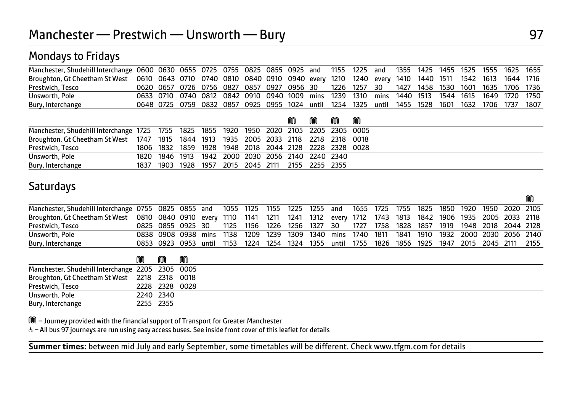| Manchester, Shudehill Interchange 0600 0630 0655 0725 0755 0825 0855 0925 and 1155 1225 and 1355 1425 1455 1525 1555 1625 1655  |                                                                                                |  |                                                                                                  |  |  |  |  |  |  |  |
|---------------------------------------------------------------------------------------------------------------------------------|------------------------------------------------------------------------------------------------|--|--------------------------------------------------------------------------------------------------|--|--|--|--|--|--|--|
| Broughton, Gt Cheetham St West 0610 0643 0710 0740 0810 0840 0910 0940 every 1210 1240 every 1410 1440 1511 1542 1613 1644 1716 |                                                                                                |  |                                                                                                  |  |  |  |  |  |  |  |
| Prestwich, Tesco                                                                                                                | 0620 0657 0726 0756 0827 0857 0927 0956 30 1226 1257 30 1427 1458 1530 1601 1635 1706 1736     |  |                                                                                                  |  |  |  |  |  |  |  |
| Unsworth, Pole                                                                                                                  | 0633 0710 0740 0812 0842 0910 0940 1009 mins 1239 1310 mins 1440 1513 1544 1615 1649 1720 1750 |  |                                                                                                  |  |  |  |  |  |  |  |
| Bury, Interchange                                                                                                               |                                                                                                |  | 0648 0725 0759 0832 0857 0925 0955 1024 until 1254 1325 until 1455 1528 1601 1632 1706 1737 1807 |  |  |  |  |  |  |  |

|                                                                                          |      |  |                                                   |  | M | m | M | M                                                      |
|------------------------------------------------------------------------------------------|------|--|---------------------------------------------------|--|---|---|---|--------------------------------------------------------|
| Manchester, Shudehill Interchange 1725 1755 1825 1855 1920 1950 2020 2105 2205 2305 0005 |      |  |                                                   |  |   |   |   |                                                        |
| Broughton, Gt Cheetham St West 1747 1815 1844 1913 1935 2005 2033 2118 2218 2318 0018    |      |  |                                                   |  |   |   |   |                                                        |
| Prestwich, Tesco                                                                         |      |  |                                                   |  |   |   |   | 1806 1832 1859 1928 1948 2018 2044 2128 2228 2328 0028 |
| Unsworth, Pole                                                                           |      |  | 1820 1846 1913 1942 2000 2030 2056 2140 2240 2340 |  |   |   |   |                                                        |
| Bury, Interchange                                                                        | 1837 |  | 1903 1928 1957 2015 2045 2111 2155 2255 2355      |  |   |   |   |                                                        |

#### **Saturdays**

| Manchester, Shudehill Interchange 0755 0825 0855 and 1055 1125 1155 1225 1255 and 1655 1725 1755 1825 1850 1920 1950 2020 2105  |   |                     |   |      |      |      |  |                                  |  |  |  |                                                                                                  |  |
|---------------------------------------------------------------------------------------------------------------------------------|---|---------------------|---|------|------|------|--|----------------------------------|--|--|--|--------------------------------------------------------------------------------------------------|--|
| Broughton, Gt Cheetham St West 0810 0840 0910 every 1110 1141 1211 1241 1312 every 1712 1743 1813 1842 1906 1935 2005 2033 2118 |   |                     |   |      |      |      |  |                                  |  |  |  |                                                                                                  |  |
| Prestwich, Tesco                                                                                                                |   | 0825 0855 0925 30   |   |      |      |      |  | 1125 1156 1226 1256 1327 30 1727 |  |  |  | 1758 1828 1857 1919 1948 2018 2044 2128                                                          |  |
| Unsworth, Pole                                                                                                                  |   | 0838 0908 0938 mins |   | 1138 | 1209 | 1239 |  |                                  |  |  |  | 1309 1340 mins 1740 1811 1841 1910 1932 2000 2030 2056 2140                                      |  |
| Bury, Interchange                                                                                                               |   |                     |   |      |      |      |  |                                  |  |  |  | 0853 0923 0953 until 1153 1224 1254 1324 1355 until 1755 1826 1856 1925 1947 2015 2045 2111 2155 |  |
|                                                                                                                                 | M | M                   | M |      |      |      |  |                                  |  |  |  |                                                                                                  |  |
| Manchester, Shudehill Interchange 2205 2305 0005                                                                                |   |                     |   |      |      |      |  |                                  |  |  |  |                                                                                                  |  |

| Broughton, Gt Cheetham St West | 2218 2318 0018 |           |      |
|--------------------------------|----------------|-----------|------|
| Prestwich, Tesco               | 2228           | 2328      | 0028 |
| Unsworth, Pole                 |                | 2240 2340 |      |
| Bury, Interchange              | 2255           | 2355      |      |

M – Journey provided with the financial support of Transport for Greater Manchester

W– All bus 97 journeys are run using easy access buses. See inside front cover of this leaflet for details

 $\overline{a}$ **Summer times:** between mid July and early September, some timetables will be different. Check www.tfgm.com for details  $\sim$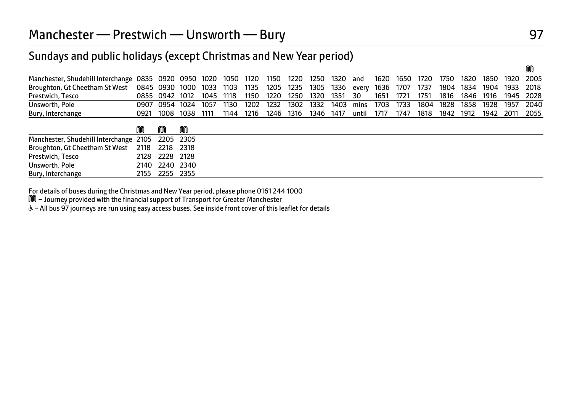| Manchester, Shudehill Interchange 0835 0920 0950 1020 1050 1120 1150 1220 1250 1320 and 1620 1650 1720 1750 1820 1850 1920 2005 |  |                     |  |  |  |                                                                                                |  |  |  |  |
|---------------------------------------------------------------------------------------------------------------------------------|--|---------------------|--|--|--|------------------------------------------------------------------------------------------------|--|--|--|--|
| Broughton, Gt Cheetham St West 0845 0930 1000 1033 1103 1135 1205 1235 1305 1336 every 1636 1707 1737 1804 1834 1904 1933 2018  |  |                     |  |  |  |                                                                                                |  |  |  |  |
| Prestwich, Tesco                                                                                                                |  |                     |  |  |  | 0855 0942 1012 1045 1118 1150 1220 1250 1320 1351 30 1651 1721 1751 1816 1846 1916 1945 2028   |  |  |  |  |
| Unsworth, Pole                                                                                                                  |  |                     |  |  |  | 0907 0954 1024 1057 1130 1202 1232 1302 1332 1403 mins 1703 1733 1804 1828 1858 1928 1957 2040 |  |  |  |  |
| Bury, Interchange                                                                                                               |  | 0921 1008 1038 1111 |  |  |  | 1144 1216 1246 1316 1346 1417 until 1717 1747 1818 1842 1912 1942 2011 2055                    |  |  |  |  |
|                                                                                                                                 |  |                     |  |  |  |                                                                                                |  |  |  |  |

|                                                  | M | M              | M |
|--------------------------------------------------|---|----------------|---|
| Manchester, Shudehill Interchange 2105 2205 2305 |   |                |   |
| Broughton, Gt Cheetham St West 2118 2218 2318    |   |                |   |
| Prestwich, Tesco                                 |   | 2128 2228 2128 |   |
| Unsworth, Pole                                   |   | 2140 2240 2340 |   |
| Bury, Interchange                                |   | 2155 2255 2355 |   |

For details of buses during the Christmas and New Year period, please phone 0161 244 1000

M – Journey provided with the financial support of Transport for Greater Manchester

W– All bus 97 journeys are run using easy access buses. See inside front cover of this leaflet for details

M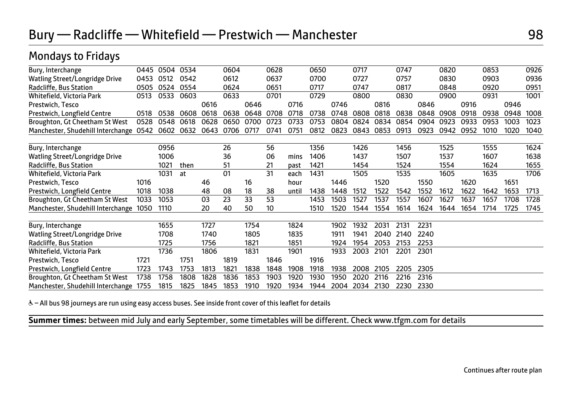| Bury, Interchange                      | 0445 | 0504 | 0534 |      | 0604 |      | 0628 |       | 0650 |      | 0717 |      | 0747 |      | 0820 |      | 0853 |      | 0926 |
|----------------------------------------|------|------|------|------|------|------|------|-------|------|------|------|------|------|------|------|------|------|------|------|
| <b>Watling Street/Longridge Drive</b>  | 0453 | 0512 | 0542 |      | 0612 |      | 0637 |       | 0700 |      | 0727 |      | 0757 |      | 0830 |      | 0903 |      | 0936 |
| Radcliffe, Bus Station                 | 0505 | 0524 | 0554 |      | 0624 |      | 0651 |       | 0717 |      | 0747 |      | 0817 |      | 0848 |      | 0920 |      | 0951 |
| Whitefield, Victoria Park              | 0513 | 0533 | 0603 |      | 0633 |      | 0701 |       | 0729 |      | 0800 |      | 0830 |      | 0900 |      | 0931 |      | 1001 |
| Prestwich, Tesco                       |      |      |      | 0616 |      | 0646 |      | 0716  |      | 0746 |      | 0816 |      | 0846 |      | 0916 |      | 0946 |      |
| Prestwich, Longfield Centre            | 0518 | 0538 | 0608 | 0618 | 0638 | 0648 | 0708 | 0718  | 0738 | 0748 | 0808 | 0818 | 0838 | 0848 | 0908 | 0918 | 0938 | 0948 | 1008 |
| Broughton, Gt Cheetham St West         | 0528 | 0548 | 0618 | 0628 | 0650 | 0700 | 0723 | 0733  | 0753 | 0804 | 0824 | 0834 | 0854 | 0904 | 0923 | 0933 | 0953 | 1003 | 1023 |
| Manchester, Shudehill Interchange      | 0542 | 0602 | 0632 | 0643 | 0706 | 0717 | 0741 | 0751  | 0812 | 0823 | 0843 | 0853 | 0913 | 0923 | 0942 | 0952 | 1010 | 1020 | 1040 |
|                                        |      |      |      |      |      |      |      |       |      |      |      |      |      |      |      |      |      |      |      |
| Bury, Interchange                      |      | 0956 |      |      | 26   |      | 56   |       | 1356 |      | 1426 |      | 1456 |      | 1525 |      | 1555 |      | 1624 |
| Watling Street/Longridge Drive         |      | 1006 |      |      | 36   |      | 06   | mins  | 1406 |      | 1437 |      | 1507 |      | 1537 |      | 1607 |      | 1638 |
| Radcliffe, Bus Station                 |      | 1021 | then |      | 51   |      | 21   | past  | 1421 |      | 1454 |      | 1524 |      | 1554 |      | 1624 |      | 1655 |
| Whitefield, Victoria Park              |      | 1031 | at   |      | 01   |      | 31   | each  | 1431 |      | 1505 |      | 1535 |      | 1605 |      | 1635 |      | 1706 |
| Prestwich, Tesco                       | 1016 |      |      | 46   |      | 16   |      | hour  |      | 1446 |      | 1520 |      | 1550 |      | 1620 |      | 1651 |      |
| Prestwich, Longfield Centre            | 1018 | 1038 |      | 48   | 08   | 18   | 38   | until | 1438 | 1448 | 1512 | 1522 | 1542 | 1552 | 1612 | 1622 | 1642 | 1653 | 1713 |
| Broughton, Gt Cheetham St West         | 1033 | 1053 |      | 03   | 23   | 33   | 53   |       | 1453 | 1503 | 1527 | 1537 | 1557 | 1607 | 1627 | 1637 | 1657 | 1708 | 1728 |
| Manchester, Shudehill Interchange 1050 |      | 1110 |      | 20   | 40   | 50   | 10   |       | 1510 | 1520 | 1544 | 1554 | 1614 | 1624 | 1644 | 1654 | 1714 | 1725 | 1745 |
|                                        |      |      |      |      |      |      |      |       |      |      |      |      |      |      |      |      |      |      |      |
| Bury, Interchange                      |      | 1655 |      | 1727 |      | 1754 |      | 1824  |      | 1902 | 1932 | 2031 | 2131 | 2231 |      |      |      |      |      |
| Watling Street/Longridge Drive         |      | 1708 |      | 1740 |      | 1805 |      | 1835  |      | 1911 | 1941 | 2040 | 2140 | 2240 |      |      |      |      |      |
| Radcliffe, Bus Station                 |      | 1725 |      | 1756 |      | 1821 |      | 1851  |      | 1924 | 1954 | 2053 | 2153 | 2253 |      |      |      |      |      |
| Whitefield, Victoria Park              |      | 1736 |      | 1806 |      | 1831 |      | 1901  |      | 1933 | 2003 | 2101 | 2201 | 2301 |      |      |      |      |      |
| Prestwich, Tesco                       | 1721 |      | 1751 |      | 1819 |      | 1846 |       | 1916 |      |      |      |      |      |      |      |      |      |      |
| Prestwich, Longfield Centre            | 1723 | 1743 | 1753 | 1813 | 1821 | 1838 | 1848 | 1908  | 1918 | 1938 | 2008 | 2105 | 2205 | 2305 |      |      |      |      |      |
| Broughton, Gt Cheetham St West         | 1738 | 1758 | 1808 | 1828 | 1836 | 1853 | 1903 | 1920  | 1930 | 1950 | 2020 | 2116 | 2216 | 2316 |      |      |      |      |      |
| Manchester, Shudehill Interchange 1755 |      | 1815 | 1825 | 1845 | 1853 | 1910 | 1920 | 1934  | 1944 | 2004 | 2034 | 2130 | 2230 | 2330 |      |      |      |      |      |

& - All bus 98 journeys are run using easy access buses. See inside front cover of this leaflet for details

**Summer times:** between mid July and early September, some timetables will be different. Check www.tfgm.com for details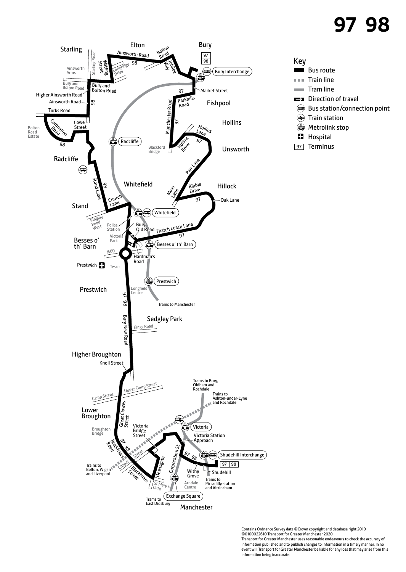# **97 98**



#### Key

- Bus route
- $\mathbf{0}$  in  $\mathbf{0}$ Train line
- Tram line
- $\Rightarrow$ Direction of travel
- Bus station/connection point
- Train station
- **Wetrolink stop**
- **H** Hospital
- 97 Terminus

Contains Ordnance Survey data ©Crown copyright and database right 2010 ©0100022610 Transport for Greater Manchester 2020 Transport for Greater Manchester uses reasonable endeavours to check the accuracy of information published and to publish changes to information in a timely manner. In no event will Transport for Greater Manchester be liable for any loss that may arise from this information being inaccurate.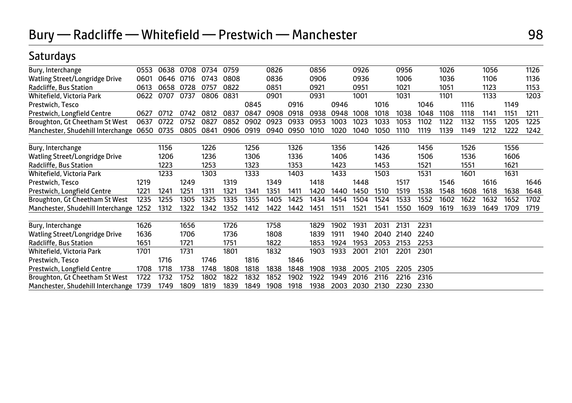### Saturdays

| Bury, Interchange                      | 0553 | 0638 | 0708 | 0734 | 0759 |      | 0826 |      | 0856 |      | 0926 |      | 0956 |      | 1026 |      | 1056 |      | 1126 |
|----------------------------------------|------|------|------|------|------|------|------|------|------|------|------|------|------|------|------|------|------|------|------|
| Watling Street/Longridge Drive         | 0601 | 0646 | 0716 | 0743 | 0808 |      | 0836 |      | 0906 |      | 0936 |      | 1006 |      | 1036 |      | 1106 |      | 1136 |
| Radcliffe, Bus Station                 | 0613 | 0658 | 0728 | 0757 | 0822 |      | 0851 |      | 0921 |      | 0951 |      | 1021 |      | 1051 |      | 1123 |      | 1153 |
| Whitefield, Victoria Park              | 0622 | 0707 | 0737 | 0806 | 0831 |      | 0901 |      | 0931 |      | 1001 |      | 1031 |      | 1101 |      | 1133 |      | 1203 |
| Prestwich, Tesco                       |      |      |      |      |      | 0845 |      | 0916 |      | 0946 |      | 1016 |      | 1046 |      | 1116 |      | 1149 |      |
| Prestwich, Longfield Centre            | 0627 | 0712 | 0742 | 0812 | 0837 | 0847 | 0908 | 0918 | 0938 | 0948 | 1008 | 1018 | 1038 | 1048 | 1108 | 1118 | 1141 | 1151 | 1211 |
| Broughton, Gt Cheetham St West         | 0637 | 0722 | 0752 | 0827 | 0852 | 0902 | 0923 | 0933 | 0953 | 1003 | 1023 | 1033 | 1053 | 1102 | 1122 | 1132 | 1155 | 1205 | 1225 |
| Manchester, Shudehill Interchange      | 0650 | 0735 | 0805 | 0841 | 0906 | 0919 | 0940 | 0950 | 1010 | 1020 | 1040 | 1050 | 1110 | 1119 | 1139 | 1149 | 1212 | 1222 | 1242 |
| Bury, Interchange                      |      | 1156 |      | 1226 |      | 1256 |      | 1326 |      | 1356 |      | 1426 |      | 1456 |      | 1526 |      | 1556 |      |
| Watling Street/Longridge Drive         |      | 1206 |      | 1236 |      | 1306 |      | 1336 |      | 1406 |      | 1436 |      | 1506 |      | 1536 |      | 1606 |      |
| Radcliffe, Bus Station                 |      | 1223 |      | 1253 |      | 1323 |      | 1353 |      | 1423 |      | 1453 |      | 1521 |      | 1551 |      | 1621 |      |
| Whitefield, Victoria Park              |      | 1233 |      | 1303 |      | 1333 |      | 1403 |      | 1433 |      | 1503 |      | 1531 |      | 1601 |      | 1631 |      |
| Prestwich, Tesco                       | 1219 |      | 1249 |      | 1319 |      | 1349 |      | 1418 |      | 1448 |      | 1517 |      | 1546 |      | 1616 |      | 1646 |
| Prestwich, Longfield Centre            | 1221 | 1241 | 1251 | 1311 | 1321 | 1341 | 1351 | 1411 | 1420 | 1440 | 1450 | 1510 | 1519 | 1538 | 1548 | 1608 | 1618 | 1638 | 1648 |
| Broughton, Gt Cheetham St West         | 1235 | 1255 | 1305 | 1325 | 1335 | 1355 | 1405 | 1425 | 1434 | 1454 | 1504 | 1524 | 1533 | 1552 | 1602 | 1622 | 1632 | 1652 | 1702 |
| Manchester, Shudehill Interchange      | 1252 | 1312 | 1322 | 1342 | 1352 | 1412 | 1422 | 1442 | 1451 | 1511 | 1521 | 1541 | 1550 | 1609 | 1619 | 1639 | 1649 | 1709 | 1719 |
| Bury, Interchange                      | 1626 |      | 1656 |      | 1726 |      | 1758 |      | 1829 | 1902 | 1931 | 2031 | 2131 | 2231 |      |      |      |      |      |
| Watling Street/Longridge Drive         | 1636 |      | 1706 |      | 1736 |      | 1808 |      | 1839 | 1911 | 1940 | 2040 | 2140 | 2240 |      |      |      |      |      |
| Radcliffe, Bus Station                 | 1651 |      | 1721 |      | 1751 |      | 1822 |      | 1853 | 1924 | 1953 | 2053 | 2153 | 2253 |      |      |      |      |      |
| Whitefield, Victoria Park              | 1701 |      | 1731 |      | 1801 |      | 1832 |      | 1903 | 1933 | 2001 | 2101 | 2201 | 2301 |      |      |      |      |      |
| Prestwich, Tesco                       |      | 1716 |      | 1746 |      | 1816 |      | 1846 |      |      |      |      |      |      |      |      |      |      |      |
| Prestwich, Longfield Centre            | 1708 | 1718 | 1738 | 1748 | 1808 | 1818 | 1838 | 1848 | 1908 | 1938 | 2005 | 2105 | 2205 | 2305 |      |      |      |      |      |
| Broughton, Gt Cheetham St West         | 1722 | 1732 | 1752 | 1802 | 1822 | 1832 | 1852 | 1902 | 1922 | 1949 | 2016 | 2116 | 2216 | 2316 |      |      |      |      |      |
| Manchester, Shudehill Interchange 1739 |      | 1749 | 1809 | 1819 | 1839 | 1849 | 1908 | 1918 | 1938 | 2003 | 2030 | 2130 | 2230 | 2330 |      |      |      |      |      |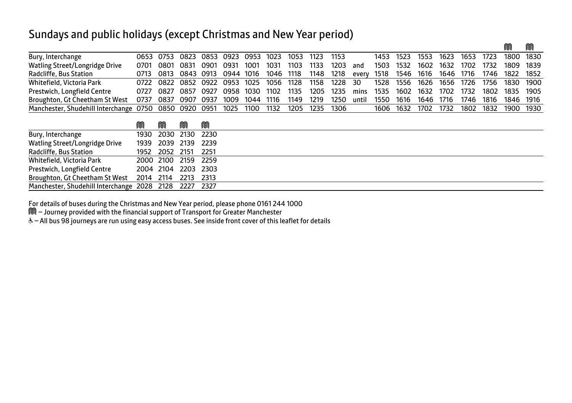| Bury, Interchange                      | 0653 | 0753 | 0823      | 0853 | 0923 | 0953 | 1023 | 1053 | 1123 | 1153 |       | 1453 | 1523 | 1553 | 1623 | 1653 | 1723 | 1800 | 1830 |
|----------------------------------------|------|------|-----------|------|------|------|------|------|------|------|-------|------|------|------|------|------|------|------|------|
| Watling Street/Longridge Drive         | 0701 | 0801 | 0831      | 0901 | 0931 | 1001 | 1031 | 1103 | 1133 | 1203 | and   | 1503 | 1532 | 1602 | 1632 | 1702 | 1732 | 1809 | 1839 |
| Radcliffe, Bus Station                 | 0713 | 0813 | 0843      | 0913 | 0944 | 1016 | 1046 | 1118 | 1148 | 1218 | every | 1518 | 1546 | 1616 | 1646 | 1716 | 1746 | 1822 | 1852 |
| Whitefield, Victoria Park              | 0722 | 0822 | 0852      | 0922 | 0953 | 1025 | 1056 | 1128 | 1158 | 1228 | 30    | 1528 | 1556 | 1626 | 1656 | 1726 | 1756 | 1830 | 1900 |
| Prestwich, Longfield Centre            | 0727 | 0827 | 0857      | 0927 | 0958 | 1030 | 1102 | 1135 | 1205 | 1235 | mins  | 1535 | 1602 | 1632 | 1702 | 1732 | 1802 | 1835 | 1905 |
| Broughton, Gt Cheetham St West         | 0737 | 0837 | 0907      | 0937 | 1009 | 1044 | 1116 | 1149 | 1219 | 1250 | until | 1550 | 1616 | 1646 | 1716 | 1746 | 1816 | 1846 | 1916 |
| Manchester, Shudehill Interchange 0750 |      |      | 0850 0920 | 0951 | 1025 | 1100 | 1132 | 1205 | 1235 | 1306 |       | 1606 | 1632 | 1702 | 1732 | 1802 | 1832 | 1900 | 1930 |
|                                        | M    | m    | M         | M    |      |      |      |      |      |      |       |      |      |      |      |      |      |      |      |
| Bury, Interchange                      | 1930 | 2030 | 2130      | 2230 |      |      |      |      |      |      |       |      |      |      |      |      |      |      |      |
| Watling Street/Longridge Drive         | 1939 | 2039 | 2139      | 2239 |      |      |      |      |      |      |       |      |      |      |      |      |      |      |      |
| Radcliffe, Bus Station                 | 1952 | 2052 | 2151      | 2251 |      |      |      |      |      |      |       |      |      |      |      |      |      |      |      |
| Whitefield, Victoria Park              | 2000 | 2100 | 2159      | 2259 |      |      |      |      |      |      |       |      |      |      |      |      |      |      |      |
| Prestwich, Longfield Centre            | 2004 | 2104 | 2203      | 2303 |      |      |      |      |      |      |       |      |      |      |      |      |      |      |      |
| Broughton, Gt Cheetham St West         | 2014 | 2114 | 2213      | 2313 |      |      |      |      |      |      |       |      |      |      |      |      |      |      |      |
| Manchester, Shudehill Interchange 2028 |      | 2128 | 2227      | 2327 |      |      |      |      |      |      |       |      |      |      |      |      |      |      |      |

 $\mathbb{M}$  mass  $\mathbb{M}$  mass  $\mathbb{M}$  mass  $\mathbb{M}$  mass  $\mathbb{M}$  mass  $\mathbb{M}$  mass  $\mathbb{M}$  mass  $\mathbb{M}$  mass  $\mathbb{M}$  mass  $\mathbb{M}$  mass  $\mathbb{M}$  mass  $\mathbb{M}$  mass  $\mathbb{M}$  mass  $\mathbb{M}$  mass  $\mathbb{M}$  mass  $\mathbb{M}$  ma

For details of buses during the Christmas and New Year period, please phone 0161 244 1000

M – Journey provided with the financial support of Transport for Greater Manchester

& - All bus 98 journeys are run using easy access buses. See inside front cover of this leaflet for details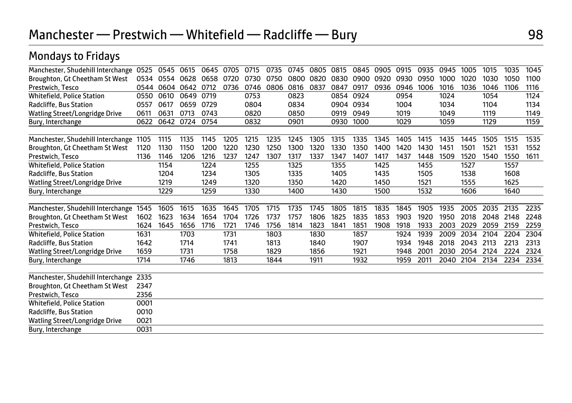| Manchester, Shudehill Interchange      | 0525 | 0545 | 0615 | 0645 | 0705 | 0715 | 0735 | 0745 | 0805 | 0815      | 0845 | 0905 | 0915 | 0935 | 0945 | 1005 | 1015      | 1035 | 1045 |
|----------------------------------------|------|------|------|------|------|------|------|------|------|-----------|------|------|------|------|------|------|-----------|------|------|
| Broughton, Gt Cheetham St West         | 0534 | 0554 | 0628 | 0658 | 0720 | 0730 | 0750 | 0800 | 0820 | 0830      | 0900 | 0920 | 0930 | 0950 | 1000 | 1020 | 1030      | 1050 | 1100 |
| Prestwich, Tesco                       | 0544 | 0604 | 0642 | 0712 | 0736 | 0746 | 0806 | 0816 | 0837 | 0847      | 0917 | 0936 | 0946 | 1006 | 1016 | 1036 | 1046      | 1106 | 1116 |
| <b>Whitefield, Police Station</b>      | 0550 | 0610 | 0649 | 0719 |      | 0753 |      | 0823 |      | 0854      | 0924 |      | 0954 |      | 1024 |      | 1054      |      | 1124 |
| Radcliffe, Bus Station                 | 0557 | 0617 | 0659 | 0729 |      | 0804 |      | 0834 |      | 0904 0934 |      |      | 1004 |      | 1034 |      | 1104      |      | 1134 |
| Watling Street/Longridge Drive         | 0611 | 0631 | 0713 | 0743 |      | 0820 |      | 0850 |      | 0919      | 0949 |      | 1019 |      | 1049 |      | 1119      |      | 1149 |
| Bury, Interchange                      | 0622 | 0642 | 0724 | 0754 |      | 0832 |      | 0901 |      | 0930      | 1000 |      | 1029 |      | 1059 |      | 1129      |      | 1159 |
|                                        |      |      |      |      |      |      |      |      |      |           |      |      |      |      |      |      |           |      |      |
| Manchester, Shudehill Interchange 1105 |      | 1115 | 1135 | 1145 | 1205 | 1215 | 1235 | 1245 | 1305 | 1315      | 1335 | 1345 | 1405 | 1415 | 1435 | 1445 | 1505      | 1515 | 1535 |
| Broughton, Gt Cheetham St West         | 1120 | 1130 | 1150 | 1200 | 1220 | 1230 | 1250 | 1300 | 1320 | 1330      | 1350 | 1400 | 1420 | 1430 | 1451 | 1501 | 1521      | 1531 | 1552 |
| Prestwich, Tesco                       | 1136 | 1146 | 1206 | 1216 | 1237 | 1247 | 1307 | 1317 | 1337 | 1347      | 1407 | 1417 | 1437 | 1448 | 1509 | 1520 | 1540      | 1550 | 1611 |
| <b>Whitefield, Police Station</b>      |      | 1154 |      | 1224 |      | 1255 |      | 1325 |      | 1355      |      | 1425 |      | 1455 |      | 1527 |           | 1557 |      |
| Radcliffe, Bus Station                 |      | 1204 |      | 1234 |      | 1305 |      | 1335 |      | 1405      |      | 1435 |      | 1505 |      | 1538 |           | 1608 |      |
| <b>Watling Street/Longridge Drive</b>  |      | 1219 |      | 1249 |      | 1320 |      | 1350 |      | 1420      |      | 1450 |      | 1521 |      | 1555 |           | 1625 |      |
| Bury, Interchange                      |      | 1229 |      | 1259 |      | 1330 |      | 1400 |      | 1430      |      | 1500 |      | 1532 |      | 1606 |           | 1640 |      |
|                                        |      |      |      |      |      |      |      |      |      |           |      |      |      |      |      |      |           |      |      |
| Manchester, Shudehill Interchange      | 1545 | 1605 | 1615 | 1635 | 1645 | 1705 | 1715 | 1735 | 1745 | 1805      | 1815 | 1835 | 1845 | 1905 | 1935 | 2005 | 2035      | 2135 | 2235 |
| Broughton, Gt Cheetham St West         | 1602 | 1623 | 1634 | 1654 | 1704 | 1726 | 1737 | 1757 | 1806 | 1825      | 1835 | 1853 | 1903 | 1920 | 1950 | 2018 | 2048 2148 |      | 2248 |
| Prestwich, Tesco                       | 1624 | 1645 | 1656 | 1716 | 1721 | 1746 | 1756 | 1814 | 1823 | 1841      | 1851 | 1908 | 1918 | 1933 | 2003 | 2029 | 2059      | 2159 | 2259 |
| <b>Whitefield, Police Station</b>      | 1631 |      | 1703 |      | 1731 |      | 1803 |      | 1830 |           | 1857 |      | 1924 | 1939 | 2009 | 2034 | 2104      | 2204 | 2304 |
| Radcliffe, Bus Station                 | 1642 |      | 1714 |      | 1741 |      | 1813 |      | 1840 |           | 1907 |      | 1934 | 1948 | 2018 | 2043 | 2113      | 2213 | 2313 |
| Watling Street/Longridge Drive         | 1659 |      | 1731 |      | 1758 |      | 1829 |      | 1856 |           | 1921 |      | 1948 | 2001 | 2030 | 2054 | 2124      | 2224 | 2324 |
| Bury, Interchange                      | 1714 |      | 1746 |      | 1813 |      | 1844 |      | 1911 |           | 1932 |      | 1959 | 2011 | 2040 | 2104 | 2134      | 2234 | 2334 |
|                                        |      |      |      |      |      |      |      |      |      |           |      |      |      |      |      |      |           |      |      |
| Manchester, Shudehill Interchange      | 2335 |      |      |      |      |      |      |      |      |           |      |      |      |      |      |      |           |      |      |
| Broughton, Gt Cheetham St West         | 2347 |      |      |      |      |      |      |      |      |           |      |      |      |      |      |      |           |      |      |
| Prestwich, Tesco                       | 2356 |      |      |      |      |      |      |      |      |           |      |      |      |      |      |      |           |      |      |
| <b>Whitefield, Police Station</b>      | 0001 |      |      |      |      |      |      |      |      |           |      |      |      |      |      |      |           |      |      |
| Radcliffe, Bus Station                 | 0010 |      |      |      |      |      |      |      |      |           |      |      |      |      |      |      |           |      |      |
| Watling Street/Longridge Drive         | 0021 |      |      |      |      |      |      |      |      |           |      |      |      |      |      |      |           |      |      |
| Bury, Interchange                      | 0031 |      |      |      |      |      |      |      |      |           |      |      |      |      |      |      |           |      |      |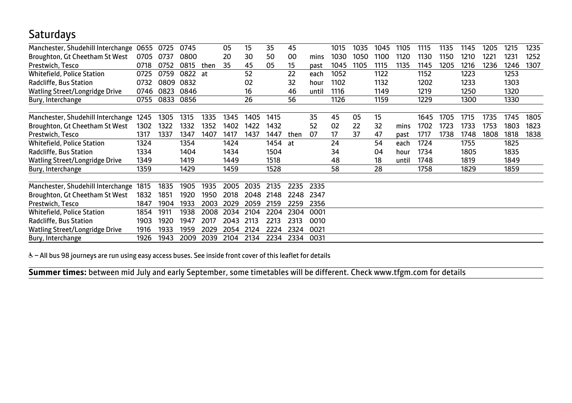#### **Saturdays**

| Manchester, Shudehill Interchange | 0655 | 0725 | 0745 |      | 05   | 15   | 35   | 45   |       | 1015 | 1035 | 1045 | 1105  | 1115 | 1135 | 1145 | 1205          | 1215 | 1235 |
|-----------------------------------|------|------|------|------|------|------|------|------|-------|------|------|------|-------|------|------|------|---------------|------|------|
| Broughton, Gt Cheetham St West    | 0705 | 0737 | 0800 |      | 20   | 30   | 50   | 00   | mins  | 1030 | 1050 | 1100 | 1120  | 1130 | 1150 | 1210 | $122^{\circ}$ | 1231 | 1252 |
| Prestwich, Tesco                  | 0718 | 0752 | 0815 | then | 35   | 45   | 05   | 15   | past  | 1045 | 1105 | 1115 | 1135  | 1145 | 1205 | 1216 | 1236          | 1246 | 1307 |
| Whitefield, Police Station        | 0725 | 0759 | 0822 | at   |      | 52   |      | 22   | each  | 1052 |      | 1122 |       | 1152 |      | 1223 |               | 1253 |      |
| Radcliffe, Bus Station            | 0732 | 0809 | 0832 |      |      | 02   |      | 32   | hour  | 1102 |      | 1132 |       | 1202 |      | 1233 |               | 1303 |      |
| Watling Street/Longridge Drive    | 0746 | 0823 | 0846 |      |      | 16   |      | 46   | until | 1116 |      | 1149 |       | 1219 |      | 1250 |               | 1320 |      |
| Bury, Interchange                 | 0755 | 0833 | 0856 |      |      | 26   |      | 56   |       | 1126 |      | 1159 |       | 1229 |      | 1300 |               | 1330 |      |
|                                   |      |      |      |      |      |      |      |      |       |      |      |      |       |      |      |      |               |      |      |
| Manchester, Shudehill Interchange | 1245 | 1305 | 1315 | 1335 | 1345 | 1405 | 1415 |      | 35    | 45   | 05   | 15   |       | 1645 | 1705 | 1715 | 1735          | 1745 | 1805 |
| Broughton, Gt Cheetham St West    | 1302 | 1322 | 1332 | 1352 | 1402 | 1422 | 1432 |      | 52    | 02   | 22   | 32   | mins  | 1702 | 1723 | 1733 | 1753          | 1803 | 1823 |
| Prestwich, Tesco                  | 1317 | 1337 | 1347 | 1407 | 1417 | 1437 | 1447 | then | 07    | 17   | 37   | 47   | past  | 1717 | 1738 | 1748 | 1808          | 1818 | 1838 |
| <b>Whitefield, Police Station</b> | 1324 |      | 1354 |      | 1424 |      | 1454 | at   |       | 24   |      | 54   | each  | 1724 |      | 1755 |               | 1825 |      |
| Radcliffe, Bus Station            | 1334 |      | 1404 |      | 1434 |      | 1504 |      |       | 34   |      | 04   | hour  | 1734 |      | 1805 |               | 1835 |      |
| Watling Street/Longridge Drive    | 1349 |      | 1419 |      | 1449 |      | 1518 |      |       | 48   |      | 18   | until | 1748 |      | 1819 |               | 1849 |      |
| Bury, Interchange                 | 1359 |      | 1429 |      | 1459 |      | 1528 |      |       | 58   |      | 28   |       | 1758 |      | 1829 |               | 1859 |      |
|                                   |      |      |      |      |      |      |      |      |       |      |      |      |       |      |      |      |               |      |      |
| Manchester, Shudehill Interchange | 1815 | 1835 | 1905 | 1935 | 2005 | 2035 | 2135 | 2235 | 2335  |      |      |      |       |      |      |      |               |      |      |
| Broughton, Gt Cheetham St West    | 1832 | 1851 | 1920 | 1950 | 2018 | 2048 | 2148 | 2248 | 2347  |      |      |      |       |      |      |      |               |      |      |
| Prestwich, Tesco                  | 1847 | 1904 | 1933 | 2003 | 2029 | 2059 | 2159 | 2259 | 2356  |      |      |      |       |      |      |      |               |      |      |
| Whitefield, Police Station        | 1854 | 1911 | 1938 | 2008 | 2034 | 2104 | 2204 | 2304 | 0001  |      |      |      |       |      |      |      |               |      |      |
| Radcliffe, Bus Station            | 1903 | 1920 | 1947 | 2017 | 2043 | 2113 | 2213 | 2313 | 0010  |      |      |      |       |      |      |      |               |      |      |
| Watling Street/Longridge Drive    | 1916 | 1933 | 1959 | 2029 | 2054 | 2124 | 2224 | 2324 | 0021  |      |      |      |       |      |      |      |               |      |      |
| Bury, Interchange                 | 1926 | 1943 | 2009 | 2039 | 2104 | 2134 | 2234 | 2334 | 0031  |      |      |      |       |      |      |      |               |      |      |

& - All bus 98 journeys are run using easy access buses. See inside front cover of this leaflet for details

**Summer times:** between mid July and early September, some timetables will be different. Check www.tfgm.com for details